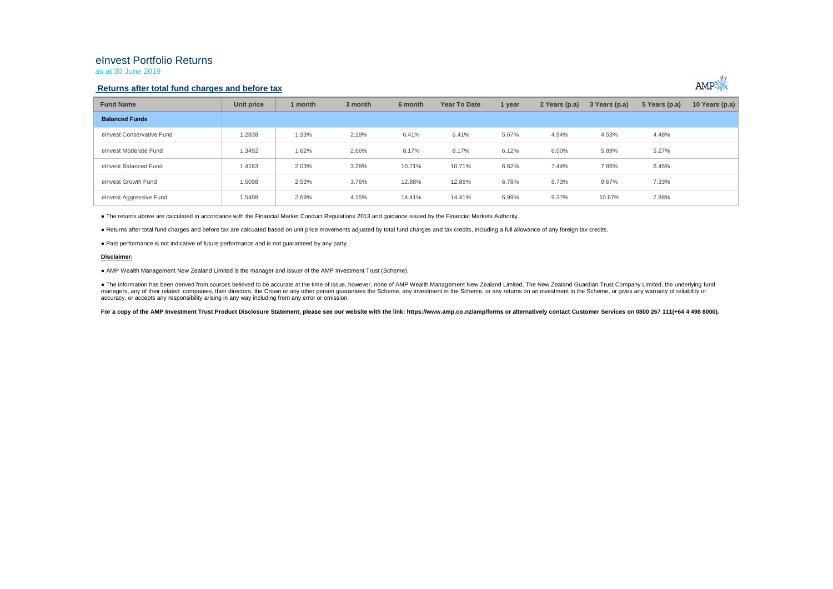# eInvest Portfolio Returns

as at 30 June 2019

## **Returns after total fund charges and before tax**



| <b>Fund Name</b>          | Unit price | 1 month | 3 month | 6 month | Year To Date | 1 year | 2 Years (p.a) | 3 Years (p.a) | 5 Years (p.a) | 10 Years (p.a) |
|---------------------------|------------|---------|---------|---------|--------------|--------|---------------|---------------|---------------|----------------|
| <b>Balanced Funds</b>     |            |         |         |         |              |        |               |               |               |                |
| elnyest Conservative Fund | 1.2838     | 1.33%   | 2.19%   | 6.41%   | 6.41%        | 5.67%  | 4.94%         | 4.53%         | 4.48%         |                |
| elnvest Moderate Fund     | 1.3492     | 1.62%   | 2.66%   | 8.17%   | 8.17%        | 6.12%  | 6.00%         | 5.89%         | 5.27%         |                |
| elnyest Balanced Fund     | 1.4183     | 2.03%   | 3.28%   | 10.71%  | 10.71%       | 6.62%  | 7.44%         | 7.86%         | 6.45%         |                |
| elnvest Growth Fund       | 1.5098     | 2.53%   | 3.76%   | 12.88%  | 12.88%       | 6.78%  | 8.73%         | 9.67%         | 7.33%         |                |
| elnvest Aggressive Fund   | 1.5498     | 2.69%   | 4.15%   | 14.41%  | 14.41%       | 6.99%  | 9.37%         | 10.67%        | 7.88%         |                |

● The returns above are calculated in accordance with the Financial Market Conduct Regulations 2013 and guidance issued by the Financial Markets Authority.

● Returns after total fund charges and before tax are calcuated based on unit price movements adjusted by total fund charges and tax credits, including a full allowance of any foreign tax credits.

● Past performance is not indicative of future performance and is not guaranteed by any party.

### **Disclaimer:**

● AMP Wealth Management New Zealand Limited is the manager and issuer of the AMP Investment Trust (Scheme).

● The information has been derived from sources believed to be accurate at the time of issue, however, none of AMP Wealth Management New Zealand Limited. The New Zealand Guardian Trust Company Limited, the underlying fund managers, any of their related companies, their directors, the Crown or any other person guarantees the Scheme, any investment in the Scheme, or any returns on an investment in the Scheme, or gives any warranty of reliabil accuracy, or accepts any responsibility arising in any way including from any error or omission.

For a copy of the AMP Investment Trust Product Disclosure Statement, please see our website with the link: https://www.amp.co.nz/amp/forms or alternatively contact Customer Services on 0800 267 111(+64 4 498 8000).